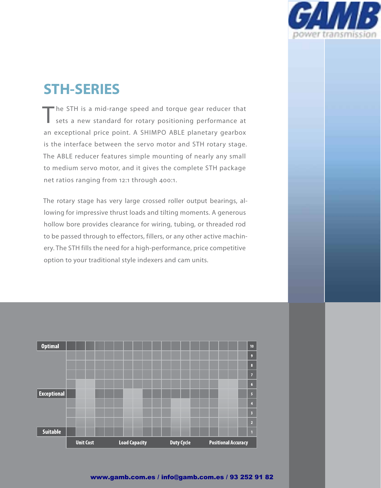

# **STH-SERIES**

The STH is a mid-range speed and torque gear reducer that sets a new standard for rotary positioning performance at an exceptional price point. A SHIMPO ABLE planetary gearbox is the interface between the servo motor and STH rotary stage. The ABLE reducer features simple mounting of nearly any small to medium servo motor, and it gives the complete STH package net ratios ranging from 12:1 through 400:1.

The rotary stage has very large crossed roller output bearings, allowing for impressive thrust loads and tilting moments. A generous hollow bore provides clearance for wiring, tubing, or threaded rod to be passed through to effectors, fillers, or any other active machinery. The STH fills the need for a high-performance, price competitive option to your traditional style indexers and cam units.



### www.gamb.com.es / info@gamb.com.es / 93 252 91 82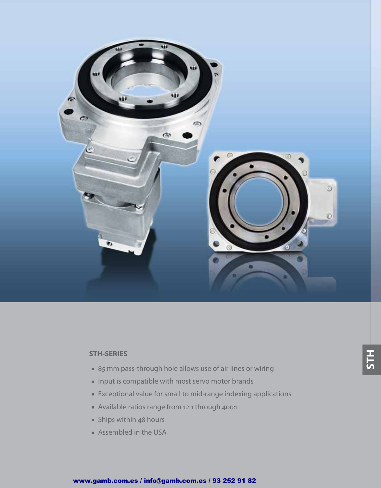

### **STH-SERIES**

- 85 mm pass-through hole allows use of air lines or wiring
- Input is compatible with most servo motor brands
- Exceptional value for small to mid-range indexing applications
- Available ratios range from 12:1 through 400:1
- Ships within 48 hours
- Assembled in the USA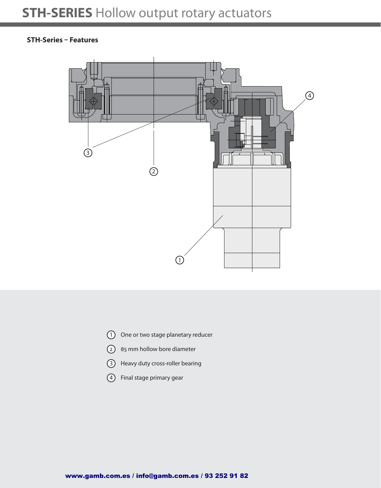### **STH-Series – Features**



- 1 One or two stage planetary reducer
- 2 85 mm hollow bore diameter
- 3 Heavy duty cross-roller bearing
- 4 Final stage primary gear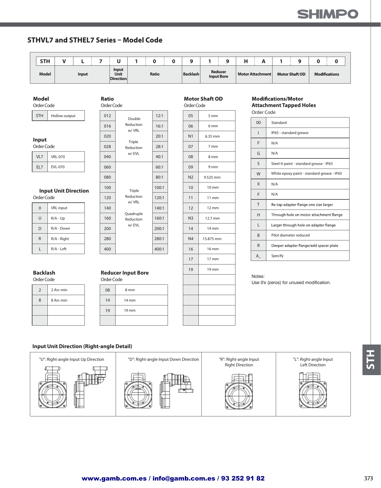# **CAIMPS**

## **STHVL7 and STHEL7 Series - Model Code**

Ratio

| <b>STH</b>   | -            |                                   |       |  |                 |                   |                | $\Omega$ | п.<br>. .        |  |                       |                      |
|--------------|--------------|-----------------------------------|-------|--|-----------------|-------------------|----------------|----------|------------------|--|-----------------------|----------------------|
| <b>Model</b> | <b>Input</b> | Input<br>Unit<br><b>Direction</b> | Ratio |  | <b>Backlash</b> | <b>Input Bore</b> | <b>Reducer</b> |          | Motor Attachment |  | <b>Motor Shaft OD</b> | <b>Modifications</b> |

#### **Model**

| Hollow output<br><b>STH</b> |
|-----------------------------|
|-----------------------------|

|  |  | ۰. | $\sim$ |
|--|--|----|--------|
|--|--|----|--------|

| Order Code |  |
|------------|--|
|------------|--|

| <b>VRL-070</b> |
|----------------|
| $-070$         |

| O | <b>VRL</b> input |
|---|------------------|
| U | $R/A - Up$       |
| D | R/A - Down       |
| R | R/A - Right      |
|   | R/A - Left       |

# **Backlash Reducer Input Bore**

Notes: Order Code Order Code

| $\mathcal{P}$ | 2 Arc-min | 08             |
|---------------|-----------|----------------|
| 8             | 8 Arc-min | $\overline{4}$ |
|               |           | 9              |
|               |           |                |

| <b>STH</b>          | Hollow output               |  | 012                                           |                        | 12:1  |     | 05             | 5 <sub>mm</sub>   | Order Code     |      |
|---------------------|-----------------------------|--|-----------------------------------------------|------------------------|-------|-----|----------------|-------------------|----------------|------|
|                     |                             |  | 016                                           | Double<br>Reduction    | 16:1  |     | 06             | 6 <sub>mm</sub>   | 0 <sub>0</sub> | Star |
|                     |                             |  | 020                                           | w/VRL                  | 20:1  |     | N <sub>1</sub> | 6.35 mm           | L              | IP65 |
| Input<br>Order Code |                             |  | 028                                           | Triple<br>Reduction    | 28:1  |     | 07             | 7 mm              | F              | N/A  |
| VL7                 | <b>VRL-070</b>              |  | w/EVL<br>040<br>40:1<br>08<br>8 <sub>mm</sub> |                        | G     | N/A |                |                   |                |      |
| EL7                 | EVL-070                     |  | 060                                           |                        | 60:1  |     | 09             | 9 <sub>mm</sub>   | $\mathsf{S}$   | Stee |
|                     |                             |  | 080                                           |                        | 80:1  |     | N <sub>2</sub> | 9.525 mm          | W              | Whi  |
|                     |                             |  | 100                                           |                        | 100:1 |     | 10             | $10 \, \text{mm}$ | $\mathsf{X}$   | N/A  |
| Order Code          | <b>Input Unit Direction</b> |  | 120                                           | Triple<br>Reduction    | 120:1 |     | 11             | $11 \text{ mm}$   | F              | N/A  |
| $\mathbf{0}$        | VRL input                   |  | 140                                           | w/VRL                  | 140:1 |     | 12             | $12 \, \text{mm}$ | T              | Re-t |
| $\cup$              | $R/A - Up$                  |  | 160                                           | Quadruple<br>Reduction | 160:1 |     | N <sub>3</sub> | 12.7 mm           | H              | Thro |
| D                   | R/A - Down                  |  | 200                                           | w/EVL                  | 200:1 |     | 14             | 14 mm             | L              | Larg |
| $\mathsf{R}$        | R/A - Right                 |  | 280                                           |                        | 280:1 |     | N <sub>4</sub> | 15.875 mm         | B              | Pilo |
|                     | R/A - Left                  |  | 400                                           |                        |       |     | 16             | 16 mm             | $\mathsf{R}$   | Dee  |
| L                   |                             |  |                                               |                        | 400:1 |     |                |                   |                |      |

| Order Code          |                             |  | Order Code |                     |       |  | Order Code     |                   | <b>Attachment Tapped Holes</b> |            |                               |
|---------------------|-----------------------------|--|------------|---------------------|-------|--|----------------|-------------------|--------------------------------|------------|-------------------------------|
| <b>STH</b>          | Hollow output               |  | 012        | Double              | 12:1  |  | 05             | 5 mm              |                                | Order Code |                               |
|                     |                             |  | 016        | Reduction           | 16:1  |  | 06             | 6 <sub>mm</sub>   |                                | 00         | Standard                      |
| Input<br>Order Code |                             |  | 020        | w/VRL               | 20:1  |  | N <sub>1</sub> | 6.35 mm           |                                |            | IP65 - standard grease        |
|                     |                             |  | 028        | Triple<br>Reduction | 28:1  |  | 07             | 7 mm              |                                | F          | N/A                           |
| VL7                 | <b>VRL-070</b>              |  | 040        | w/EVL               | 40:1  |  | 08             | 8 <sub>mm</sub>   |                                | G          | N/A                           |
| EL7                 | EVL-070                     |  | 060        |                     | 60:1  |  | 09             | 9 <sub>mm</sub>   |                                | S          | Steel-It paint - standard gre |
|                     |                             |  | 080        |                     | 80:1  |  | N <sub>2</sub> | 9.525 mm          |                                | W          | White epoxy paint - standa    |
|                     |                             |  | 100        |                     | 100:1 |  | 10             | $10 \, \text{mm}$ |                                | X          | N/A                           |
| Order Code          | <b>Input Unit Direction</b> |  | 120        | Triple<br>Reduction | 120:1 |  | 11             | $11 \text{ mm}$   |                                | F          | N/A                           |
|                     |                             |  |            |                     |       |  |                |                   |                                |            |                               |

19 mm

#### Motor Shaft OD **Modifications/Motor**

| Hollow output    |  | 012 |                        | 12:1  | 05             | $5 \text{ mm}$  |  |                        |                                            |  |  |
|------------------|--|-----|------------------------|-------|----------------|-----------------|--|------------------------|--------------------------------------------|--|--|
|                  |  | 016 | Double<br>Reduction    | 16:1  | 06             | 6 <sub>mm</sub> |  | 00                     | Standard                                   |  |  |
|                  |  | 020 | w/ VRL                 | 20:1  | N <sub>1</sub> | 6.35 mm         |  | IP65 - standard grease |                                            |  |  |
|                  |  |     | Triple                 |       |                |                 |  | F                      | N/A                                        |  |  |
| łe               |  | 028 | Reduction              | 28:1  | 07             | 7 mm            |  |                        |                                            |  |  |
| <b>VRL-070</b>   |  | 040 | w/EVL                  | 40:1  | 08             | 8 mm            |  | G                      | N/A                                        |  |  |
| <b>EVL-070</b>   |  | 060 |                        | 60:1  | 09             | 9 <sub>mm</sub> |  | S                      | Steel-It paint - standard grease - IP65    |  |  |
| t Unit Direction |  | 080 |                        | 80:1  | N <sub>2</sub> | 9.525 mm        |  | W                      | White epoxy paint - standard grease - IP65 |  |  |
|                  |  | 100 | Triple                 | 100:1 | 10             | $10 \text{ mm}$ |  | X                      | N/A                                        |  |  |
|                  |  |     |                        |       |                |                 |  | F                      | N/A                                        |  |  |
| łе               |  | 120 | Reduction              | 120:1 | 11             | $11 \text{ mm}$ |  |                        |                                            |  |  |
| <b>VRL</b> input |  | 140 | w/ VRL                 | 140:1 | 12             | $12 \text{ mm}$ |  | T.                     | Re-tap adapter flange one size larger      |  |  |
| R/A - Up         |  | 160 | Quadruple<br>Reduction | 160:1 | N <sub>3</sub> | 12.7 mm         |  | H                      | Through hole on motor attachment flange    |  |  |
|                  |  |     | w/EVL                  |       |                |                 |  | L                      | Larger through hole on adapter flange      |  |  |
| R/A - Down       |  | 200 |                        | 200:1 | 14             | 14 mm           |  |                        |                                            |  |  |
| R/A - Right      |  | 280 |                        | 280:1 | N <sub>4</sub> | 15.875 mm       |  | B                      | Pilot diameter reduced                     |  |  |
| R/A - Left       |  | 400 |                        | 400:1 | 16             | 16 mm           |  | R.                     | Deeper adapter flange/add spacer plate     |  |  |
|                  |  |     |                        |       | 17             | $17 \text{ mm}$ |  | $A_{-}$                | Specify                                    |  |  |
|                  |  |     |                        |       |                |                 |  |                        |                                            |  |  |

Use 0's (zeros) for unused modification.

### **Input Unit Direction (Right-angle Detail)**

19

 $08$   $8 \text{ mm}$  $14$  14 mm

19 mm



**STH**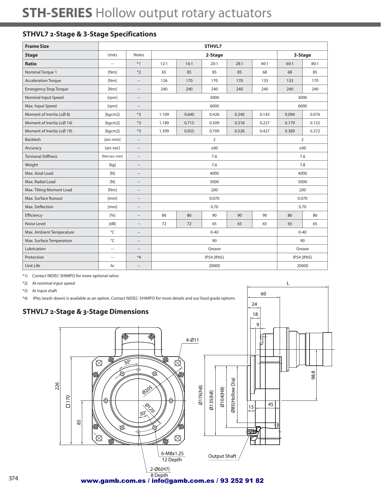# **STH-SERIES** Hollow output rotary actuators

# **STHVL7 2-Stage & 3-Stage Specifications**

| <b>Frame Size</b>               |                          |                                                     |                                 |                | STHVL7      |       |       |             |       |  |  |
|---------------------------------|--------------------------|-----------------------------------------------------|---------------------------------|----------------|-------------|-------|-------|-------------|-------|--|--|
| <b>Stage</b>                    | Units                    | <b>Notes</b>                                        |                                 |                | 2-Stage     |       |       | 3-Stage     |       |  |  |
| <b>Ratio</b>                    | --                       | $*1$                                                | 12:1                            | 16:1           | 20:1        | 28:1  | 40:1  | 60:1        | 80:1  |  |  |
| Nominal Torque 1                | [Nm]                     | $*2$                                                | 65                              | 85             | 85          | 85    | 68    | 68          | 85    |  |  |
| <b>Acceleration Torque</b>      | [Nm]                     | $\hspace{0.05cm} -$                                 | 126                             | 170            | 170         | 170   | 133   | 133         | 170   |  |  |
| <b>Emergency Stop Torque</b>    | [Nm]                     | $\hspace{0.05cm} -$                                 | 240<br>240<br>240<br>240<br>240 |                |             |       |       | 240         | 240   |  |  |
| Nominal Input Speed             | [rpm]                    | $\hspace{0.05cm} -$                                 |                                 | 3000<br>3000   |             |       |       |             |       |  |  |
| Max. Input Speed                | [rpm]                    | $\hspace{0.05cm} \ldots$                            |                                 | 6000<br>6000   |             |       |       |             |       |  |  |
| Moment of Inertia ( $\leq$ Ø 8) | [kgcm2]                  | $*3$                                                | 1.109                           | 0.094          | 0.076       |       |       |             |       |  |  |
| Moment of Inertia (≤Ø 14)       | [kgcm2]                  | $*3$                                                | 1.189                           | 0.715          | 0.509       | 0.318 | 0.227 | 0.179       | 0.152 |  |  |
| Moment of Inertia (≤Ø 19)       | [kgcm2]                  | $*3$                                                | 1.399                           | 0.925          | 0.709       | 0.528 | 0.427 | 0.389       | 0.372 |  |  |
| <b>Backlash</b>                 | [arc-min]                | $\hspace{0.05cm} -\hspace{0.05cm} -\hspace{0.05cm}$ |                                 | $\overline{2}$ |             |       |       |             |       |  |  |
| Accuracy                        | [arc-sec]                | $\hspace{0.05cm} -\hspace{0.05cm} -\hspace{0.05cm}$ | ±60<br>±60                      |                |             |       |       |             |       |  |  |
| <b>Torsional Stiffness</b>      | [Nm/arc-min]             | $-\,$                                               |                                 | 7.6<br>7.6     |             |       |       |             |       |  |  |
| Weight                          | [kg]                     | $-\,$                                               |                                 |                | 7.6         |       |       |             | 7.8   |  |  |
| Max. Axial Load                 | [N]                      | $\qquad \qquad -$                                   |                                 |                | 4000        |       |       |             | 4000  |  |  |
| Max. Radial Load                | [N]                      | --                                                  |                                 |                | 5000        |       |       |             | 5000  |  |  |
| Max. Tilting Moment Load        | [Nm]                     | $-\!$                                               |                                 |                | 200         |       |       | 200         |       |  |  |
| Max. Surface Runout             | [mm]                     | $-\,$                                               |                                 |                | 0.070       |       |       |             | 0.070 |  |  |
| Max. Deflection                 | [mm]                     | $\qquad \qquad -$                                   |                                 |                | 0.70        |       |       | 0.70        |       |  |  |
| Efficiency                      | $\lceil 9/6 \rceil$      | --                                                  | 86                              | 86             | 90          | 90    | 90    | 86          | 86    |  |  |
| Noise Level                     | [dB]                     | $-\,$                                               | 72                              | 72             | 65          | 65    | 65    | 65          | 65    |  |  |
| Max. Ambient Temperature        | °C                       | $-\,$                                               |                                 |                | $0 - 40$    |       |       | $0 - 40$    |       |  |  |
| Max. Surface Temperature        | °C                       | $-\,$                                               |                                 |                | 90          |       |       |             | 90    |  |  |
| Lubrication                     | $\overline{\phantom{a}}$ | $-\,$                                               |                                 |                | Grease      |       |       | Grease      |       |  |  |
| Protection                      | $\overline{\phantom{a}}$ | $*_{4}$                                             |                                 |                | IP54 (IP65) |       |       | IP54 (IP65) |       |  |  |
| Unit Life                       | hr                       | --                                                  |                                 |                | 20000       |       |       | 20000       |       |  |  |

\*1) Contact NIDEC-SHIMPO for more optional ratios

\*2) At nominal input speed

\*3) At input shaft

\*4) IP65 (wash-down) is available as an option. Contact NIDEC-SHIMPO for more details and our food grade options



60

L

## www.gamb.com.es / info@gamb.com.es / 93 252 91 82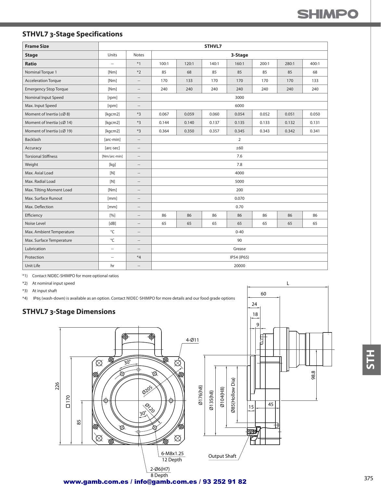# **STHVL7 3-Stage Specifications**

| <b>Frame Size</b>                |                          |                                                     |       |                                                    | STHVL7 |             |       |       |       |  |  |  |
|----------------------------------|--------------------------|-----------------------------------------------------|-------|----------------------------------------------------|--------|-------------|-------|-------|-------|--|--|--|
| <b>Stage</b>                     | Units                    | <b>Notes</b>                                        |       |                                                    |        | 3-Stage     |       |       |       |  |  |  |
| <b>Ratio</b>                     | Ξ.                       | $*1$                                                | 100:1 | 120:1                                              | 140:1  | 160:1       | 200:1 | 280:1 | 400:1 |  |  |  |
| Nominal Torque 1                 | [Nm]                     | $*2$                                                | 85    | 68                                                 | 85     | 85          | 85    | 85    | 68    |  |  |  |
| <b>Acceleration Torque</b>       | [Nm]                     | $\hspace{0.05cm} -\hspace{0.05cm} -\hspace{0.05cm}$ | 170   | 170<br>133<br>170<br>170<br>170                    |        |             |       |       |       |  |  |  |
| <b>Emergency Stop Torque</b>     | [Nm]                     | $\cdots$                                            | 240   | 240<br>240<br>240<br>240<br>240<br>240             |        |             |       |       |       |  |  |  |
| Nominal Input Speed              | [rpm]                    | $\cdots$                                            |       | 3000                                               |        |             |       |       |       |  |  |  |
| Max. Input Speed                 | [rpm]                    | $\qquad \qquad -$                                   |       | 6000                                               |        |             |       |       |       |  |  |  |
| Moment of Inertia ( $\leq$ Ø 8)  | [kgcm2]                  | $*3$                                                | 0.067 | 0.059<br>0.060<br>0.054<br>0.052<br>0.050<br>0.051 |        |             |       |       |       |  |  |  |
| Moment of Inertia ( $\leq$ Ø 14) | [kgcm2]                  | $*3$                                                | 0.144 | 0.140                                              | 0.137  | 0.135       | 0.133 | 0.132 | 0.131 |  |  |  |
| Moment of Inertia (≤Ø 19)        | [kgcm2]                  | $*3$                                                | 0.364 | 0.350                                              | 0.357  | 0.345       | 0.343 | 0.342 | 0.341 |  |  |  |
| Backlash                         | [arc-min]                | $\hspace{0.05cm} \ldots$                            |       | $\overline{2}$                                     |        |             |       |       |       |  |  |  |
| Accuracy                         | [arc-sec]                | $\overline{\phantom{a}}$                            | ±60   |                                                    |        |             |       |       |       |  |  |  |
| <b>Torsional Stiffness</b>       | [Nm/arc-min]             | $\hspace{0.05cm} \ldots$                            | 7.6   |                                                    |        |             |       |       |       |  |  |  |
| Weight                           | [kq]                     | $\qquad \qquad -$                                   |       |                                                    |        | 7.8         |       |       |       |  |  |  |
| Max. Axial Load                  | [N]                      | $\sim$                                              |       |                                                    |        | 4000        |       |       |       |  |  |  |
| Max. Radial Load                 | [N]                      | $\sim$                                              |       |                                                    |        | 5000        |       |       |       |  |  |  |
| Max. Tilting Moment Load         | [Nm]                     | $\qquad \qquad -$                                   |       |                                                    |        | 200         |       |       |       |  |  |  |
| Max. Surface Runout              | [mm]                     | $\overline{a}$                                      |       |                                                    |        | 0.070       |       |       |       |  |  |  |
| Max. Deflection                  | [mm]                     | $\qquad \qquad -$                                   |       |                                                    |        | 0.70        |       |       |       |  |  |  |
| Efficiency                       | [%]                      | $\hspace{0.05cm} -$                                 | 86    | 86                                                 | 86     | 86          | 86    | 86    | 86    |  |  |  |
| Noise Level                      | [dB]                     | $-\, -$                                             | 65    | 65                                                 | 65     | 65          | 65    | 65    | 65    |  |  |  |
| Max. Ambient Temperature         | °C                       | $-\!$                                               |       |                                                    |        | $0 - 40$    |       |       |       |  |  |  |
| Max. Surface Temperature         | °C                       | $\qquad \qquad -$                                   |       |                                                    |        | 90          |       |       |       |  |  |  |
| Lubrication                      | $\sim$                   | $\overline{a}$                                      |       |                                                    |        | Grease      |       |       |       |  |  |  |
| Protection                       | $\overline{\phantom{a}}$ | $*_{4}$                                             |       |                                                    |        | IP54 (IP65) |       |       |       |  |  |  |
| Unit Life                        | hr                       | $\overline{a}$                                      |       |                                                    |        | 20000       |       |       |       |  |  |  |

\*1) Contact NIDEC-SHIMPO for more optional ratios

\*2) At nominal input speed

\*3) At input shaft

\*4) IP65 (wash-down) is available as an option. Contact NIDEC-SHIMPO for more details and our food grade options

### **STHVL7 3-Stage Dimensions**



60

L

24

www.gamb.com.es / info@gamb.com.es / 93 252 91 82

**H1S**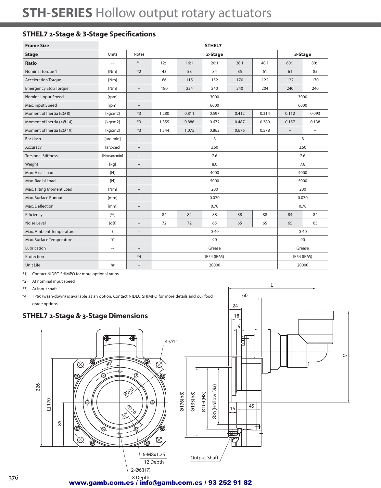# **STH-SERIES** Hollow output rotary actuators

# **STHEL7 2-Stage & 3-Stage Specifications**

| <b>Frame Size</b>                | STHEL7                   |                          |             |       |       |       |             |          |                          |  |
|----------------------------------|--------------------------|--------------------------|-------------|-------|-------|-------|-------------|----------|--------------------------|--|
| <b>Stage</b>                     | Units                    | <b>Notes</b>             | 2-Stage     |       |       |       | 3-Stage     |          |                          |  |
| <b>Ratio</b>                     | ä.                       | $*1$                     | 12:1        | 16:1  | 20:1  | 28:1  | 40:1        | 60:1     | 80:1                     |  |
| Nominal Torque 1                 | [Nm]                     | $*2$                     | 43          | 58    | 84    | 85    | 61          | 61       | 85                       |  |
| <b>Acceleration Torque</b>       | [Nm]                     | --                       | 86          | 115   | 152   | 170   | 122         | 122      | 170                      |  |
| <b>Emergency Stop Torque</b>     | [Nm]                     | $\qquad \qquad -$        | 180         | 234   | 240   | 240   | 204         | 240      | 240                      |  |
| Nominal Input Speed              | [rpm]                    | $\hspace{0.05cm}$        | 3000        |       |       |       |             | 3000     |                          |  |
| Max. Input Speed                 | [rpm]                    | $\overline{\phantom{a}}$ | 6000        |       |       |       | 6000        |          |                          |  |
| Moment of Inertia ( $\leq$ Ø8)   | [kgcm2]                  | $*3$                     | 1.280       | 0.811 | 0.597 | 0.412 | 0.314       | 0.112    | 0.093                    |  |
| Moment of Inertia ( $\leq$ Ø 14) | [kgcm2]                  | $*3$                     | 1.355       | 0.886 | 0.672 | 0.487 | 0.389       | 0.157    | 0.138                    |  |
| Moment of Inertia (≤Ø 19)        | [kgcm2]                  | $*3$                     | 1.544       | 1.075 | 0.862 | 0.676 | 0.578       | $\cdots$ | $\hspace{0.05cm} \ldots$ |  |
| Backlash                         | [arc-min]                | $\hspace{0.05cm} -$      | 8           |       |       |       |             | 8        |                          |  |
| Accuracy                         | [arc-sec]                | $\qquad \qquad -$        | ±60         |       |       |       |             | ±60      |                          |  |
| <b>Torsional Stiffness</b>       | [Nm/arc-min]             | $\hspace{0.05cm} -$      | 7.6         |       |       |       |             | 7.6      |                          |  |
| Weight                           | [kg]                     | $\qquad \qquad -$        | 8.0         |       |       |       |             | 7.8      |                          |  |
| Max. Axial Load                  | [N]                      | $\hspace{0.05cm} -$      | 4000        |       |       |       |             | 4000     |                          |  |
| Max. Radial Load                 | [N]                      | --                       | 5000        |       |       |       |             | 5000     |                          |  |
| Max. Tilting Moment Load         | [Nm]                     | $\hspace{0.05cm} \cdots$ | 200         |       |       |       |             | 200      |                          |  |
| Max. Surface Runout              | [mm]                     | --                       | 0.070       |       |       |       | 0.070       |          |                          |  |
| Max. Deflection                  | [mm]                     | $\hspace{0.05cm}$        | 0.70        |       |       |       | 0.70        |          |                          |  |
| Efficiency                       | [%]                      | $\qquad \qquad -$        | 84          | 84    | 88    | 88    | 88          | 84       | 84                       |  |
| Noise Level                      | [dB]                     | $\hspace{0.05cm}$        | 72          | 72    | 65    | 65    | 65          | 65       | 65                       |  |
| Max. Ambient Temperature         | °C                       | $-\,$                    | $0 - 40$    |       |       |       |             | $0 - 40$ |                          |  |
| Max. Surface Temperature         | °C                       | $\overline{a}$           | 90          |       |       |       | 90          |          |                          |  |
| Lubrication                      | $\overline{\phantom{a}}$ | $\qquad \qquad -$        | Grease      |       |       |       | Grease      |          |                          |  |
| Protection                       | $\overline{\phantom{a}}$ | $*4$                     | IP54 (IP65) |       |       |       | IP54 (IP65) |          |                          |  |
| Unit Life                        | hr                       | $\overline{a}$           | 20000       |       |       |       | 20000       |          |                          |  |

\*1) Contact NIDEC-SHIMPO for more optional ratios

\*2) At nominal input speed

\*3) At input shaft

\*4) IP65 (wash-down) is available as an option. Contact NIDEC-SHIMPO for more details and our food grade options



L

60

8 Depth www.gamb.com.es / info@gamb.com.es / 93 252 91 82